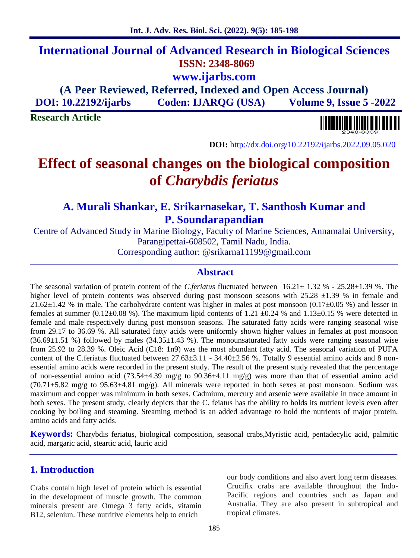# **International Journal of Advanced Research in Biological Sciences ISSN: 2348-8069 www.ijarbs.com**

# **(A Peer Reviewed, Referred, Indexed and Open Access Journal) DOI: 10.22192/ijarbs Coden: IJARQG (USA) Volume 9, Issue 5 -2022**

**Research Article**



**DOI:** http://dx.doi.org/10.22192/ijarbs.2022.09.05.020

# **Effect of seasonal changes on the biological composition of** *Charybdis feriatus*

# **A. Murali Shankar, E. Srikarnasekar, T. Santhosh Kumar and P. Soundarapandian**

Centre of Advanced Study in Marine Biology, Faculty of Marine Sciences, Annamalai University, Parangipettai-608502, Tamil Nadu, India.

Corresponding author: @srikarna11199@gmail.com

#### **Abstract**

The seasonal variation of protein content of the *C.feriatus* fluctuated between 16.21± 1.32 % - 25.28±1.39 %. The higher level of protein contents was observed during post monsoon seasons with  $25.28 \pm 1.39$  % in female and 21.62±1.42 % in male. The carbohydrate content was higher in males at post monsoon (0.17±0.05 %) and lesser in females at summer (0.12 $\pm$ 0.08 %). The maximum lipid contents of 1.21  $\pm$ 0.24 % and 1.13 $\pm$ 0.15 % were detected in female and male respectively during post monsoon seasons. The saturated fatty acids were ranging seasonal wise from 29.17 to 36.69 %. All saturated fatty acids were uniformly shown higher values in females at post monsoon  $(36.69\pm1.51\%)$  followed by males  $(34.35\pm1.43\%)$ . The monounsaturated fatty acids were ranging seasonal wise from 25.92 to 28.39 %. Oleic Acid (C18: 1n9) was the most abundant fatty acid. The seasonal variation of PUFA content of the C.feriatus fluctuated between  $27.63\pm3.11$  -  $34.40\pm2.56$  %. Totally 9 essential amino acids and 8 nonessential amino acids were recorded in the present study. The result of the present study revealed that the percentage of non-essential amino acid (73.54±4.39 mg/g to 90.36±4.11 mg/g) was more than that of essential amino acid  $(70.71\pm5.82 \text{ mg/g}$  to 95.63 $\pm$ 4.81 mg/g). All minerals were reported in both sexes at post monsoon. Sodium was maximum and copper was minimum in both sexes. Cadmium, mercury and arsenic were available in trace amount in both sexes. The present study, clearly depicts that the C. feiatus has the ability to holds its nutrient levels even after cooking by boiling and steaming. Steaming method is an added advantage to hold the nutrients of major protein, amino acids and fatty acids.

**Keywords:** Charybdis feriatus, biological composition, seasonal crabs,Myristic acid, pentadecylic acid, palmitic acid, margaric acid, steartic acid, lauric acid

### **1. Introduction**

Crabs contain high level of protein which is essential in the development of muscle growth. The common minerals present are Omega 3 fatty acids, vitamin B12, seleniun. These nutritive elements help to enrich

our body conditions and also avert long term diseases. Crucifix crabs are available throughout the Indo- Pacific regions and countries such as Japan and Australia. They are also present in subtropical and tropical climates.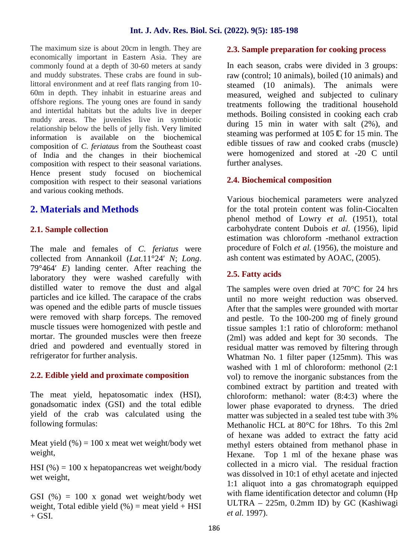The maximum size is about 20cm in length. They are economically important in Eastern Asia. They are commonly found at a depth of 30-60 meters at sandy and muddy substrates. These crabs are found in sublittoral environment and at reef flats ranging from 10- 60m in depth. They inhabit in estuarine areas and offshore regions. The young ones are found in sandy and intertidal habitats but the adults live in deeper muddy areas. The juveniles live in symbiotic relationship below the bells of jelly fish. Very limited information is available on the biochemical composition of*C. feriataus* from the Southeast coast of India and the changes in their biochemical composition with respect to their seasonal variations. Hence present study focused on biochemical composition with respect to their seasonal variations and various cooking methods.

# **2. Materials and Methods**

#### **2.1. Sample collection**

The male and females of *C. feriatus* were collected from Annankoil (*Lat*.11°24 *N*; *Long*. 79°464 *E*) landing center. After reaching the laboratory they were washed carefully with distilled water to remove the dust and algal particles and ice killed. The carapace of the crabs was opened and the edible parts of muscle tissues were removed with sharp forceps. The removed muscle tissues were homogenized with pestle and mortar. The grounded muscles were then freeze dried and powdered and eventually stored in refrigerator for further analysis.

## **2.2. Edible yield and proximate composition**

The meat yield, hepatosomatic index (HSI), gonadsomatic index (GSI) and the total edible yield of the crab was calculated using the following formulas:

Meat yield  $(\% ) = 100$  x meat wet weight/body wet weight,

HSI (%) = 100 x hepatopancreas wet weight/body wet weight,

GSI  $(\%) = 100$  x gonad wet weight/body wet weight, Total edible yield  $(\%)$  = meat yield + HSI  $+$  GSI.

### **2.3. Sample preparation for cooking process**

In each season, crabs were divided in 3 groups: raw (control; 10 animals), boiled (10 animals) and steamed (10 animals). The animals were measured, weighed and subjected to culinary treatments following the traditional household methods. Boiling consisted in cooking each crab during 15 min in water with salt (2%), and steaming was performed at 105 °C for 15 min. The edible tissues of raw and cooked crabs (muscle) were homogenized and stored at -20 C until further analyses.

## **2.4. Biochemical composition**

Various biochemical parameters were analyzed for the total protein content was folin-Ciocalten phenol method of Lowry *et al.* (1951), total carbohydrate content Dubois *et al.* (1956), lipid estimation was chloroform -methanol extraction procedure of Folch *et al.* (1956), the moisture and ash content was estimated by AOAC, (2005).

### **2.5. Fatty acids**

The samples were oven dried at 70°C for 24 hrs until no more weight reduction was observed. After that the samples were grounded with mortar and pestle. To the 100-200 mg of finely ground tissue samples 1:1 ratio of chloroform: methanol (2ml) was added and kept for 30 seconds. The residual matter was removed by filtering through Whatman No. 1 filter paper (125mm). This was washed with 1 ml of chloroform: methonol (2:1 vol) to remove the inorganic substances from the combined extract by partition and treated with chloroform: methanol: water (8:4:3) where the lower phase evaporated to dryness. The dried matter was subjected in a sealed test tube with 3% Methanolic HCL at 80°C for 18hrs. To this 2ml of hexane was added to extract the fatty acid methyl esters obtained from methanol phase in Hexane. Top 1 ml of the hexane phase was collected in a micro vial. The residual fraction was dissolved in 10:1 of ethyl acetate and injected 1:1 aliquot into a gas chromatograph equipped with flame identification detector and column (Hp ULTRA – 225m, 0.2mm ID) by GC (Kashiwagi *et al.* 1997).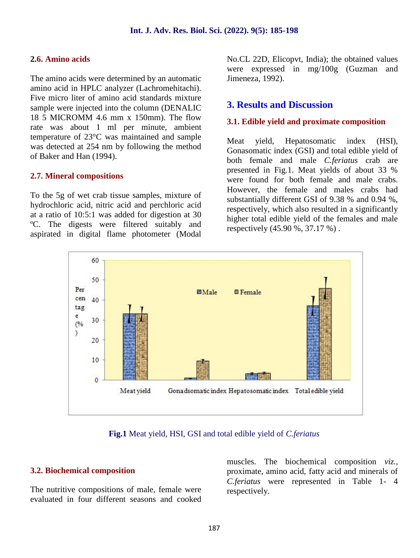#### **2.6. Amino acids**

The amino acids were determined by an automatic amino acid in HPLC analyzer (Lachromehitachi). Five micro liter of amino acid standards mixture sample were injected into the column (DENALIC 18 5 MICROMM 4.6 mm x 150mm). The flow rate was about 1 ml per minute, ambient temperature of 23°C was maintained and sample was detected at 254 nm by following the method of Baker and Han (1994).

#### **2.7. Mineral compositions**

To the 5g of wet crab tissue samples, mixture of hydrochloric acid, nitric acid and perchloric acid at a ratio of 10:5:1 was added for digestion at 30 ºC. The digests were filtered suitably and aspirated in digital flame photometer (Modal No.CL 22D, Elicopvt, India); the obtained values were expressed in mg/100g (Guzman and Jimeneza, 1992).

### **3. Results and Discussion**

#### **3.1. Edible yield and proximate composition**

yield, Hepatosomatic index (HSI), Gonasomatic index (GSI) and total edible yield of both female and male *C.feriatus* crab are presented in Fig.1. Meat yields of about 33 % were found for both female and male crabs. However, the female and males crabs had substantially different GSI of 9.38 % and 0.94 %, respectively, which also resulted in a significantly higher total edible yield of the females and male respectively (45.90 %, 37.17 %) .





#### **3.2. Biochemical composition**

The nutritive compositions of male, female were evaluated in four different seasons and cooked muscles. The biochemical composition *viz.,* proximate, amino acid, fatty acid and minerals of *C.feriatus* were represented in Table 1- 4 respectively.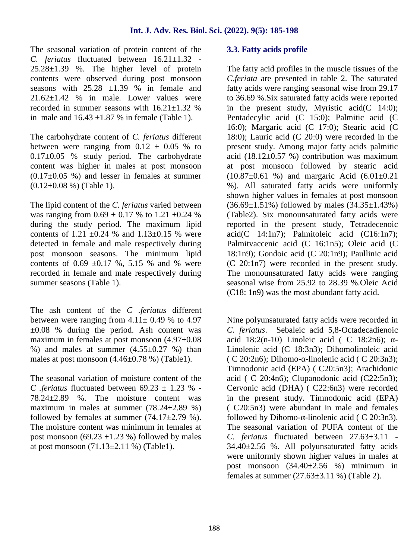The seasonal variation of protein content of the *C. feriatus* fluctuated between 16.21±1.32 - 25.28±1.39 %. The higher level of protein contents were observed during post monsoon seasons with  $25.28 \pm 1.39$  % in female and  $21.62\pm1.42$  % in male. Lower values were recorded in summer seasons with  $16.21 \pm 1.32$  % in male and  $16.43 \pm 1.87$  % in female (Table 1).

The carbohydrate content of *C. feriatus* different between were ranging from  $0.12 \pm 0.05$  % to 0.17±0.05 % study period. The carbohydrate content was higher in males at post monsoon  $(0.17\pm0.05)$  %) and lesser in females at summer  $(0.12\pm0.08\%)$  (Table 1).

The lipid content of the *C. feriatus* varied between was ranging from  $0.69 \pm 0.17$  % to  $1.21 \pm 0.24$  % during the study period. The maximum lipid contents of 1.21  $\pm 0.24$  % and 1.13 $\pm 0.15$  % were detected in female and male respectively during post monsoon seasons. The minimum lipid contents of  $0.69 \pm 0.17$  %, 5.15 % and % were recorded in female and male respectively during summer seasons (Table 1).

The ash content of the *C .feriatus* different between were ranging from  $4.11 \pm 0.49$  % to 4.97  $\pm 0.08$  % during the period. Ash content was maximum in females at post monsoon (4.97±0.08 %) and males at summer  $(4.55\pm0.27)$  % than males at post monsoon (4.46±0.78 %) (Table1).

The seasonal variation of moisture content of the *C .feriatus* fluctuated between  $69.23 \pm 1.23$  % -78.24±2.89 %. The moisture content was maximum in males at summer  $(78.24 \pm 2.89 \%)$ followed by females at summer  $(74.17\pm2.79\%).$ The moisture content was minimum in females at post monsoon (69.23  $\pm$ 1.23 %) followed by males at post monsoon  $(71.13 \pm 2.11 \%)$  (Table1).

#### **3.3. Fatty acids profile**

The fatty acid profiles in the muscle tissues of the *C.feriata* are presented in table 2. The saturated fatty acids were ranging seasonal wise from 29.17 to 36.69 %.Six saturated fatty acids were reported in the present study, Myristic acid(C 14:0); Pentadecylic acid (C 15:0); Palmitic acid (C 16:0); Margaric acid (C 17:0); Stearic acid (C 18:0); Lauric acid (C 20:0) were recorded in the present study. Among major fatty acids palmitic acid  $(18.12\pm0.57)$ %) contribution was maximum at post monsoon followed by stearic acid  $(10.87\pm0.61)$  %) and margaric Acid  $(6.01\pm0.21)$ %). All saturated fatty acids were uniformly shown higher values in females at post monsoon  $(36.69 \pm 1.51\%)$  followed by males  $(34.35 \pm 1.43\%)$ (Table2). Six monounsaturated fatty acids were reported in the present study, Tetradecenoic  $\text{acid}(C \quad 14:1n7)$ ; Palmitoleic acid (C16:1n7); Palmitvaccenic acid (C 16:1n5); Oleic acid (C 18:1n9); Gondoic acid (C 20:1n9); Paullinic acid (C 20:1n7) were recorded in the present study. The monounsaturated fatty acids were ranging seasonal wise from 25.92 to 28.39 %.Oleic Acid (C18: 1n9) was the most abundant fatty acid.

Nine polyunsaturated fatty acids were recorded in *C. feriatus*. Sebaleic acid 5,8-Octadecadienoic acid  $18:2(n-10)$  Linoleic acid ( C  $18:2n6$ ); Linolenic acid (C 18:3n3); Dihomolinoleic acid ( C 20:2n6); Dihomo- -linolenic acid ( C 20:3n3); Timnodonic acid (EPA) ( C20:5n3); Arachidonic acid ( C 20:4n6); Clupanodonic acid (C22:5n3); Cervonic acid (DHA) ( C22:6n3) were recorded in the present study. Timnodonic acid (EPA) ( C20:5n3) were abundant in male and females followed by Dihomo- -linolenic acid ( C 20:3n3). The seasonal variation of PUFA content of the *C. feriatus* fluctuated between 27.63±3.11 - 34.40±2.56 %. All polyunsaturated fatty acids were uniformly shown higher values in males at post monsoon (34.40±2.56 %) minimum in females at summer (27.63±3.11 %) (Table 2).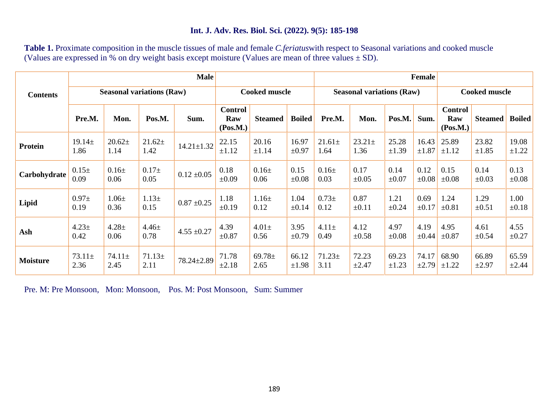**Table 1.** Proximate composition in the muscle tissues of male and female *C.feriatus*with respect to Seasonal variations and cooked muscle (Values are expressed in % on dry weight basis except moisture (Values are mean of three values  $\pm$  SD).

|                 |                     |                     |                                  | <b>Male</b>      |                                   |                     | <b>Female</b>       |                     |                                  |                     |                     |                                   |                     |                     |
|-----------------|---------------------|---------------------|----------------------------------|------------------|-----------------------------------|---------------------|---------------------|---------------------|----------------------------------|---------------------|---------------------|-----------------------------------|---------------------|---------------------|
| <b>Contents</b> |                     |                     | <b>Seasonal variations (Raw)</b> |                  | <b>Cooked muscle</b>              |                     |                     |                     | <b>Seasonal variations (Raw)</b> |                     |                     | <b>Cooked muscle</b>              |                     |                     |
|                 | Pre.M.              | Mon.                | Pos.M.                           | Sum.             | <b>Control</b><br>Raw<br>(Pos.M.) | <b>Steamed</b>      | <b>Boiled</b>       | Pre.M.              | Mon.                             | Pos.M.              | Sum.                | <b>Control</b><br>Raw<br>(Pos.M.) | <b>Steamed</b>      | <b>Boiled</b>       |
| Protein         | $19.14 \pm$<br>1.86 | $20.62 \pm$<br>1.14 | $21.62+$<br>1.42                 | $14.21 \pm 1.32$ | 22.15<br>$\pm 1.12$               | 20.16<br>±1.14      | 16.97<br>$\pm 0.97$ | $21.61 \pm$<br>1.64 | $23.21 \pm$<br>1.36              | 25.28<br>±1.39      | 16.43<br>$\pm 1.87$ | 25.89<br>$\pm 1.12$               | 23.82<br>$\pm 1.85$ | 19.08<br>$\pm 1.22$ |
| Carbohydrate    | $0.15\pm$<br>0.09   | $0.16\pm$<br>0.06   | $0.17+$<br>0.05                  | $0.12 \pm 0.05$  | 0.18<br>$\pm 0.09$                | $0.16\pm$<br>0.06   | 0.15<br>$\pm 0.08$  | $0.16\pm$<br>0.03   | 0.17<br>$\pm 0.05$               | 0.14<br>$\pm 0.07$  | 0.12<br>$\pm 0.08$  | 0.15<br>$\pm 0.08$                | 0.14<br>$\pm 0.03$  | 0.13<br>$\pm 0.08$  |
| Lipid           | $0.97\pm$<br>0.19   | $1.06 \pm$<br>0.36  | $1.13+$<br>0.15                  | $0.87 \pm 0.25$  | 1.18<br>$\pm 0.19$                | $1.16 \pm$<br>0.12  | 1.04<br>±0.14       | $0.73 \pm$<br>0.12  | 0.87<br>$\pm 0.11$               | 1.21<br>$\pm 0.24$  | 0.69<br>$\pm 0.17$  | 1.24<br>$\pm 0.81$                | 1.29<br>$\pm 0.51$  | 1.00<br>$\pm 0.18$  |
| Ash             | $4.23+$<br>0.42     | $4.28 \pm$<br>0.06  | $4.46 \pm$<br>0.78               | $4.55 \pm 0.27$  | 4.39<br>$\pm 0.87$                | $4.01\pm$<br>0.56   | 3.95<br>$\pm 0.79$  | $4.11 \pm$<br>0.49  | 4.12<br>$\pm 0.58$               | 4.97<br>$\pm 0.08$  | 4.19<br>$\pm 0.44$  | 4.95<br>$\pm 0.87$                | 4.61<br>$\pm 0.54$  | 4.55<br>$\pm 0.27$  |
| <b>Moisture</b> | $73.11 \pm$<br>2.36 | $74.11 \pm$<br>2.45 | $71.13+$<br>2.11                 | 78.24±2.89       | 71.78<br>$\pm 2.18$               | 69.78 $\pm$<br>2.65 | 66.12<br>±1.98      | $71.23 \pm$<br>3.11 | 72.23<br>$\pm 2.47$              | 69.23<br>$\pm 1.23$ | 74.17<br>±2.79      | 68.90<br>$\pm 1.22$               | 66.89<br>$\pm 2.97$ | 65.59<br>$\pm 2.44$ |

Pre. M: Pre Monsoon, Mon: Monsoon, Pos. M: Post Monsoon, Sum: Summer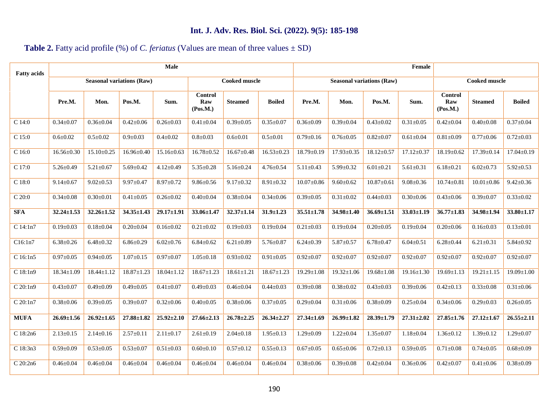# **Table 2.** Fatty acid profile (%) of *C. feriatus* (Values are mean of three values  $\pm$  SD)

|                  | <b>Seasonal variations (Raw)</b> |                  |                  |                                   |                      | Female           |                  |                  |                                  |                  |                                   |                  |                  |  |
|------------------|----------------------------------|------------------|------------------|-----------------------------------|----------------------|------------------|------------------|------------------|----------------------------------|------------------|-----------------------------------|------------------|------------------|--|
|                  |                                  |                  |                  |                                   | <b>Cooked muscle</b> |                  |                  |                  | <b>Seasonal variations (Raw)</b> |                  | <b>Cooked muscle</b>              |                  |                  |  |
| Pre.M.           | Mon.                             | Pos.M.           | Sum.             | <b>Control</b><br>Raw<br>(Pos.M.) | <b>Steamed</b>       | Boiled           | Pre.M.           | Mon.             | Pos.M.                           | Sum.             | <b>Control</b><br>Raw<br>(Pos.M.) | <b>Steamed</b>   | <b>Boiled</b>    |  |
| $0.34 \pm 0.07$  | $0.36 \pm 0.04$                  | $0.42 \pm 0.06$  | $0.26 \pm 0.03$  | $0.41 \pm 0.04$                   | $0.39 \pm 0.05$      | $0.35 \pm 0.07$  | $0.36 \pm 0.09$  | $0.39 \pm 0.04$  | $0.43 \pm 0.02$                  | $0.31 \pm 0.05$  | $0.42 \pm 0.04$                   | $0.40 \pm 0.08$  | $0.37 \pm 0.04$  |  |
| $0.6 \pm 0.02$   | $0.5 \pm 0.02$                   | $0.9 \pm 0.03$   | $0.4 \pm 0.02$   | $0.8 \pm 0.03$                    | $0.6 \pm 0.01$       | $0.5 \pm 0.01$   | $0.79 \pm 0.16$  | $0.76 \pm 0.05$  | $0.82 \pm 0.07$                  | $0.61 \pm 0.04$  | $0.81 + 0.09$                     | $0.77 \pm 0.06$  | $0.72 \pm 0.03$  |  |
| $16.56 \pm 0.30$ | $15.10 \pm 0.25$                 | $16.96 \pm 0.40$ | $15.16 \pm 0.63$ | $16.78 \pm 0.52$                  | $16.67 \pm 0.48$     | $16.53 \pm 0.23$ | $18.79 \pm 0.19$ | $17.93 \pm 0.35$ | $18.12 \pm 0.57$                 | $17.12 \pm 0.37$ | $18.19 \pm 0.62$                  | $17.39 \pm 0.14$ | $17.04 \pm 0.19$ |  |
| $5.26 \pm 0.49$  | $5.21 \pm 0.67$                  | $5.69 \pm 0.42$  | $4.12 \pm 0.49$  | $5.35 \pm 0.28$                   | $5.16 \pm 0.24$      | $4.76 \pm 0.54$  | $5.11 \pm 0.43$  | $5.99 \pm 0.32$  | $6.01 \pm 0.21$                  | $5.61 \pm 0.31$  | $6.18 \pm 0.21$                   | $6.02 \pm 0.73$  | $5.92 \pm 0.53$  |  |
| $9.14 \pm 0.67$  | $9.02 \pm 0.53$                  | $9.97 \pm 0.47$  | $8.97 \pm 0.72$  | $9.86 \pm 0.56$                   | $9.17 \pm 0.32$      | $8.91 \pm 0.32$  | $10.07 \pm 0.86$ | $9.60 \pm 0.62$  | $10.87 \pm 0.61$                 | $9.08 \pm 0.36$  | $10.74 \pm 0.81$                  | $10.01 \pm 0.86$ | $9.42 \pm 0.36$  |  |
| $0.34 \pm 0.08$  | $0.30 \pm 0.01$                  | $0.41 \pm 0.05$  | $0.26 \pm 0.02$  | $0.40 \pm 0.04$                   | $0.38 \pm 0.04$      | $0.34 \pm 0.06$  | $0.39 + 0.05$    | $0.31 \pm 0.02$  | $0.44 \pm 0.03$                  | $0.30 \pm 0.06$  | $0.43 \pm 0.06$                   | $0.39 \pm 0.07$  | $0.33 \pm 0.02$  |  |
| $32.24 \pm 1.53$ | $32.26 \pm 1.52$                 | $34.35 \pm 1.43$ | $29.17 \pm 1.91$ | $33.06 \pm 1.47$                  | $32.37 \pm 1.14$     | $31.9 \pm 1.23$  | $35.51 \pm 1.78$ | $34.98 \pm 1.40$ | $36.69 \pm 1.51$                 | $33.03 \pm 1.19$ | $36.77 \pm 1.83$                  | $34.98 \pm 1.94$ | $33.80 \pm 1.17$ |  |
| $0.19 \pm 0.03$  | $0.18 \pm 0.04$                  | $0.20 \pm 0.04$  | $0.16 \pm 0.02$  | $0.21 \pm 0.02$                   | $0.19 \pm 0.03$      | $0.19 \pm 0.04$  | $0.21 \pm 0.03$  | $0.19 \pm 0.04$  | $0.20 \pm 0.05$                  | $0.19 \pm 0.04$  | $0.20 \pm 0.06$                   | $0.16 \pm 0.03$  | $0.13 \pm 0.01$  |  |
| $6.38 \pm 0.26$  | $6.48 \pm 0.32$                  | $6.86 \pm 0.29$  | $6.02{\pm}0.76$  | $6.84 \pm 0.62$                   | $6.21 \pm 0.89$      | $5.76 \pm 0.87$  | $6.24 \pm 0.39$  | $5.87 \pm 0.57$  | $6.78 \pm 0.47$                  | $6.04 \pm 0.51$  | $6.28 \pm 0.44$                   | $6.21 \pm 0.31$  | $5.84 \pm 0.92$  |  |
| $0.97 + 0.05$    | $0.94 \pm 0.05$                  | $1.07 \pm 0.15$  | $0.97 \pm 0.07$  | $1.05 \pm 0.18$                   | $0.93 \pm 0.02$      | $0.91 \pm 0.05$  | $0.92 \pm 0.07$  | $0.92 \pm 0.07$  | $0.92 \pm 0.07$                  | $0.92 \pm 0.07$  | $0.92 \pm 0.07$                   | $0.92 \pm 0.07$  | $0.92 \pm 0.07$  |  |
| $18.34 \pm 1.09$ | 18.44±1.12                       | $18.87 \pm 1.23$ | $18.04 \pm 1.12$ | $18.67 \pm 1.23$                  | $18.61 \pm 1.21$     | $18.67 \pm 1.23$ | $19.29 \pm 1.08$ | $19.32 \pm 1.06$ | $19.68 \pm 1.08$                 | $19.16 \pm 1.30$ | $19.69 \pm 1.13$                  | $19.21 \pm 1.15$ | 19.09±1.00       |  |
| $0.43 \pm 0.07$  | $0.49 \pm 0.09$                  | $0.49 \pm 0.05$  | $0.41 \pm 0.07$  | $0.49 \pm 0.03$                   | $0.46 \pm 0.04$      | $0.44 \pm 0.03$  | $0.39 + 0.08$    | $0.38 \pm 0.02$  | $0.43 \pm 0.03$                  | $0.39 \pm 0.06$  | $0.42 \pm 0.13$                   | $0.33 \pm 0.08$  | $0.31 \pm 0.06$  |  |
| $0.38 + 0.06$    | $0.39 + 0.05$                    | $0.39 + 0.07$    | $0.32 \pm 0.06$  | $0.40 \pm 0.05$                   | $0.38 + 0.06$        | $0.37 + 0.05$    | $0.29 \pm 0.04$  | $0.31 \pm 0.06$  | $0.38 + 0.09$                    | $0.25 \pm 0.04$  | $0.34 \pm 0.06$                   | $0.29 \pm 0.03$  | $0.26 \pm 0.05$  |  |
| $26.69 \pm 1.56$ | $26.92 \pm 1.65$                 | $27.88 \pm 1.82$ | $25.92 \pm 2.10$ | $27.66 \pm 2.13$                  | $26.78 \pm 2.25$     | $26.34 \pm 2.27$ | $27.34 \pm 1.69$ | $26.99 \pm 1.82$ | $28.39 \pm 1.79$                 | $27.31 \pm 2.02$ | $27.85 \pm 1.76$                  | $27.12 \pm 1.67$ | $26.55 \pm 2.11$ |  |
| $2.13 \pm 0.15$  | $2.14 \pm 0.16$                  | $2.57 \pm 0.11$  | $2.11 \pm 0.17$  | $2.61 \pm 0.19$                   | $2.04 \pm 0.18$      | $1.95 \pm 0.13$  | $1.29 \pm 0.09$  | $1.22 \pm 0.04$  | $1.35 \pm 0.07$                  | $1.18 \pm 0.04$  | $1.36 \pm 0.12$                   | $1.39 \pm 0.12$  | $1.29 \pm 0.07$  |  |
| $0.59 \pm 0.09$  | $0.53 \pm 0.05$                  | $0.53 \pm 0.07$  | $0.51 \pm 0.03$  | $0.60 \pm 0.10$                   | $0.57 \pm 0.12$      | $0.55 \pm 0.13$  | $0.67 \pm 0.05$  | $0.65 \pm 0.06$  | $0.72 \pm 0.13$                  | $0.59 + 0.05$    | $0.71 \pm 0.08$                   | $0.74 \pm 0.05$  | $0.68 \pm 0.09$  |  |
| $0.46 \pm 0.04$  | $0.46 \pm 0.04$                  | $0.46 \pm 0.04$  | $0.46 \pm 0.04$  | $0.46 \pm 0.04$                   | $0.46 \pm 0.04$      | $0.46 \pm 0.04$  | $0.38 + 0.06$    | $0.39 \pm 0.08$  | $0.42 \pm 0.04$                  | $0.36 \pm 0.06$  | $0.42 \pm 0.07$                   | $0.41 \pm 0.06$  | $0.38 \pm 0.09$  |  |
|                  |                                  |                  |                  |                                   |                      |                  |                  |                  |                                  |                  |                                   |                  |                  |  |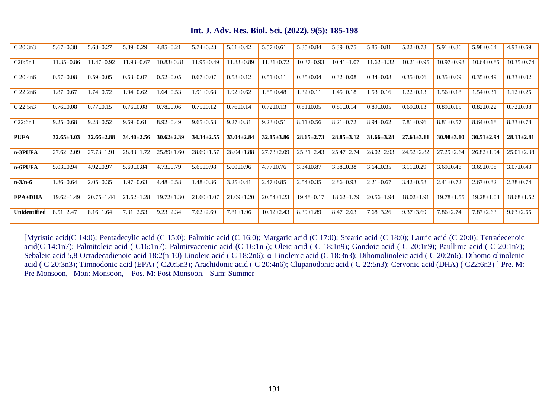| C 20:3n3       | $5.67 \pm 0.38$  | $5.68 \pm 0.27$  | $5.89 \pm 0.29$  | $4.85 \pm 0.21$  | $5.74 \pm 0.28$  | $5.61 \pm 0.42$  | $5.57 \pm 0.61$  | $5.35 \pm 0.84$  | $5.39 \pm 0.75$  | $5.85 \pm 0.81$  | $5.22 \pm 0.73$  | $5.91 \pm 0.86$  | $5.98 \pm 0.64$  | $4.93 \pm 0.69$  |
|----------------|------------------|------------------|------------------|------------------|------------------|------------------|------------------|------------------|------------------|------------------|------------------|------------------|------------------|------------------|
| C20:5n3        | $11.35 \pm 0.86$ | $11.47 \pm 0.92$ | $11.93 \pm 0.67$ | $10.83 \pm 0.81$ | $11.95 \pm 0.49$ | $11.83 \pm 0.89$ | $11.31 \pm 0.72$ | $10.37 \pm 0.93$ | $10.41 \pm 1.07$ | $11.62 \pm 1.32$ | $10.21 \pm 0.95$ | $10.97 \pm 0.98$ | $10.64 \pm 0.85$ | $10.35 \pm 0.74$ |
| $C$ 20:4n6     | $0.57 + 0.08$    | $0.59 \pm 0.05$  | $0.63 \pm 0.07$  | $0.52 \pm 0.05$  | $0.67 \pm 0.07$  | $0.58 \pm 0.12$  | $0.51 \pm 0.11$  | $0.35 \pm 0.04$  | $0.32 \pm 0.08$  | $0.34 \pm 0.08$  | $0.35 \pm 0.06$  | $0.35 \pm 0.09$  | $0.35 \pm 0.49$  | $0.33 \pm 0.02$  |
| $C$ 22:2n6     | $1.87 \pm 0.67$  | $1.74 \pm 0.72$  | $1.94 \pm 0.62$  | $.64 \pm 0.53$   | $1.91 \pm 0.68$  | $1.92 \pm 0.62$  | $1.85 \pm 0.48$  | $1.32 \pm 0.11$  | $1.45 \pm 0.18$  | $1.53 \pm 0.16$  | $1.22 \pm 0.13$  | $1.56 \pm 0.18$  | $1.54 \pm 0.31$  | $1.12 \pm 0.25$  |
| $C$ 22:5n3     | $0.76 \pm 0.08$  | $0.77 \pm 0.15$  | $0.76 \pm 0.08$  | $0.78 \pm 0.06$  | $0.75 \pm 0.12$  | $0.76 \pm 0.14$  | $0.72 \pm 0.13$  | $0.81 \pm 0.05$  | $0.81 \pm 0.14$  | $0.89 \pm 0.05$  | $0.69 \pm 0.13$  | $0.89 \pm 0.15$  | $0.82 \pm 0.22$  | $0.72 \pm 0.08$  |
| C22:6n3        | $9.25 \pm 0.68$  | $9.28 \pm 0.52$  | $9.69 \pm 0.61$  | $8.92 \pm 0.49$  | $9.65 \pm 0.58$  | $9.27 \pm 0.31$  | $9.23 \pm 0.51$  | $8.11 \pm 0.56$  | $8.21 \pm 0.72$  | $8.94 \pm 0.62$  | $7.81 \pm 0.96$  | $8.81 \pm 0.57$  | $8.64 \pm 0.18$  | $8.33 \pm 0.78$  |
| PUFA           | $32.65 \pm 3.03$ | $32.66 \pm 2.88$ | $34.40 \pm 2.56$ | $30.62 \pm 2.39$ | $34.34 \pm 2.55$ | $33.04 \pm 2.84$ | $32.15 \pm 3.86$ | $28.65 \pm 2.73$ | $28.85 \pm 3.12$ | $31.66 \pm 3.28$ | $27.63 \pm 3.11$ | $30.98 \pm 3.10$ | $30.51 \pm 2.94$ | $28.13 \pm 2.81$ |
|                |                  |                  |                  |                  |                  |                  |                  |                  |                  |                  |                  |                  |                  |                  |
| n-3PUFA        | $27.62 \pm 2.09$ | $27.73 \pm 1.91$ | $28.83 \pm 1.72$ | $25.89 \pm 1.60$ | $28.69 \pm 1.57$ | $28.04 \pm 1.88$ | $27.73 \pm 2.09$ | $25.31 \pm 2.43$ | $25.47 \pm 2.74$ | $28.02 \pm 2.93$ | $24.52 \pm 2.82$ | $27.29 \pm 2.64$ | $26.82 \pm 1.94$ | $25.01 \pm 2.38$ |
| n-6PUFA        | $5.03 \pm 0.94$  | $4.92 \pm 0.97$  | $5.60 \pm 0.84$  | $4.73 \pm 0.79$  | $5.65 \pm 0.98$  | $5.00 \pm 0.96$  | $4.77 \pm 0.76$  | $3.34 \pm 0.87$  | $3.38 \pm 0.38$  | $3.64 \pm 0.35$  | $3.11 \pm 0.29$  | $3.69 \pm 0.46$  | $3.69 \pm 0.98$  | $3.07 \pm 0.43$  |
| $n-3/n-6$      | $1.86 \pm 0.64$  | $2.05 \pm 0.35$  | $1.97 \pm 0.63$  | $4.48 \pm 0.58$  | $1.48 \pm 0.36$  | $3.25 \pm 0.41$  | $2.47 \pm 0.85$  | $2.54 \pm 0.35$  | $2.86 \pm 0.93$  | $2.21 \pm 0.67$  | $3.42 \pm 0.58$  | $2.41 \pm 0.72$  | $2.67 \pm 0.82$  | $2.38 \pm 0.74$  |
| <b>EPA+DHA</b> | $19.62 \pm 1.49$ | $20.75 \pm 1.44$ | $21.62 \pm 1.28$ | $19.72 \pm 1.30$ | $21.60 \pm 1.07$ | $21.09 \pm 1.20$ | $20.54 \pm 1.23$ | $19.48 \pm 0.17$ | $18.62 \pm 1.79$ | $20.56 \pm 1.94$ | $18.02 \pm 1.91$ | $19.78 \pm 1.55$ | $19.28 \pm 1.03$ | $18.68 \pm 1.52$ |

[Myristic acid(C 14:0); Pentadecylic acid (C 15:0); Palmitic acid (C 16:0); Margaric acid (C 17:0); Stearic acid (C 18:0); Lauric acid (C 20:0); Tetradecenoic acid(C 14:1n7); Palmitoleic acid (C16:1n7); Palmitvaccenic acid (C 16:1n5); Oleic acid (C 18:1n9); Gondoic acid (C 20:1n9); Paullinic acid (C 20:1n7); Sebaleic acid 5,8-Octadecadienoic acid 18:2(n-10) Linoleic acid ( C 18:2n6); -Linolenic acid (C 18:3n3); Dihomolinoleic acid ( C 20:2n6); Dihomo-linolenic acid ( C 20:3n3); Timnodonic acid (EPA) ( C20:5n3); Arachidonic acid ( C 20:4n6); Clupanodonic acid ( C 22:5n3); Cervonic acid (DHA) ( C22:6n3) ] Pre. M: Pre Monsoon, Mon: Monsoon, Pos. M: Post Monsoon, Sum: Summer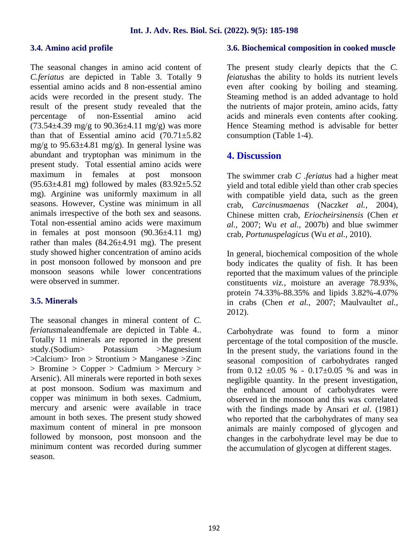#### **3.4. Amino acid profile**

The seasonal changes in amino acid content of *C.feriatus* are depicted in Table 3. Totally 9 essential amino acids and 8 non-essential amino acids were recorded in the present study. The result of the present study revealed that the percentage of non-Essential amino acid  $(73.54\pm4.39 \text{ mg/g to } 90.36\pm4.11 \text{ mg/g})$  was more than that of Essential amino acid  $(70.71 \pm 5.82)$ mg/g to  $95.63\pm4.81$  mg/g). In general lysine was abundant and tryptophan was minimum in the present study. Total essential amino acids were maximum in females at post monsoon  $(95.63\pm4.81 \text{ mg})$  followed by males  $(83.92\pm5.52$ mg). Arginine was uniformly maximum in all seasons. However, Cystine was minimum in all animals irrespective of the both sex and seasons. Total non-essential amino acids were maximum in females at post monsoon  $(90.36\pm4.11 \text{ mg})$ rather than males (84.26±4.91 mg). The present study showed higher concentration of amino acids in post monsoon followed by monsoon and pre monsoon seasons while lower concentrations were observed in summer.

#### **3.5. Minerals**

The seasonal changes in mineral content of *C. feriatus*maleandfemale are depicted in Table 4.. Totally 11 minerals are reported in the present study.(Sodium> Potassium >Magnesium >Calcium> Iron > Strontium > Manganese >Zinc > Bromine > Copper > Cadmium > Mercury > Arsenic). All minerals were reported in both sexes at post monsoon. Sodium was maximum and copper was minimum in both sexes. Cadmium, mercury and arsenic were available in trace amount in both sexes. The present study showed maximum content of mineral in pre monsoon followed by monsoon, post monsoon and the minimum content was recorded during summer season.

#### **3.6. Biochemical composition in cooked muscle**

The present study clearly depicts that the *C. feiatus*has the ability to holds its nutrient levels even after cooking by boiling and steaming. Steaming method is an added advantage to hold the nutrients of major protein, amino acids, fatty acids and minerals even contents after cooking. Hence Steaming method is advisable for better consumption (Table 1-4).

# **4. Discussion**

The swimmer crab *C .feriatus* had a higher meat yield and total edible yield than other crab species with compatible yield data, such as the green crab, *Carcinusmaenas* (Naczk*et al.,* 2004), Chinese mitten crab, *Eriocheirsinensis* (Chen *et al.,* 2007; Wu *et al.,* 2007b) and blue swimmer crab, *Portunuspelagicus* (Wu *et al.,* 2010).

In general, biochemical composition of the whole body indicates the quality of fish. It has been reported that the maximum values of the principle constituents *viz.,* moisture an average 78.93%, protein 74.33%-88.35% and lipids 3.82%-4.07% in crabs (Chen *et al.,* 2007; Maulvault*et al.,* 2012).

Carbohydrate was found to form a minor percentage of the total composition of the muscle. In the present study, the variations found in the seasonal composition of carbohydrates ranged from  $0.12 \pm 0.05$  % -  $0.17 \pm 0.05$  % and was in negligible quantity. In the present investigation, the enhanced amount of carbohydrates were observed in the monsoon and this was correlated with the findings made by Ansari *et al*. (1981) who reported that the carbohydrates of many sea animals are mainly composed of glycogen and changes in the carbohydrate level may be due to the accumulation of glycogen at different stages.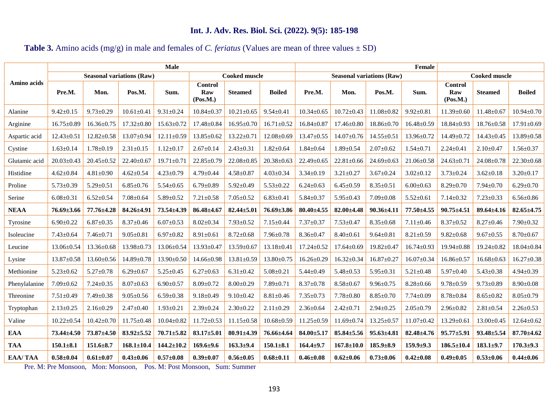# **Table 3.** Amino acids (mg/g) in male and females of *C. feriatus* (Values are mean of three values ± SD)

|                |                  |                                  |                  | Male             |                                   |                      | Female           |                  |                                  |                  |                  |                                   |                      |                  |
|----------------|------------------|----------------------------------|------------------|------------------|-----------------------------------|----------------------|------------------|------------------|----------------------------------|------------------|------------------|-----------------------------------|----------------------|------------------|
| Amino acids    |                  | <b>Seasonal variations (Raw)</b> |                  |                  |                                   | <b>Cooked muscle</b> |                  |                  | <b>Seasonal variations (Raw)</b> |                  |                  |                                   | <b>Cooked muscle</b> |                  |
|                | Pre.M.           | Mon.                             | Pos.M.           | Sum.             | <b>Control</b><br>Raw<br>(Pos.M.) | <b>Steamed</b>       | <b>Boiled</b>    | Pre.M.           | Mon.                             | Pos.M.           | Sum.             | <b>Control</b><br>Raw<br>(Pos.M.) | <b>Steamed</b>       | <b>Boiled</b>    |
| Alanine        | $9.42 \pm 0.15$  | $9.73 \pm 0.29$                  | $10.61 \pm 0.41$ | $9.31 \pm 0.24$  | $10.84 \pm 0.37$                  | $10.21 \pm 0.65$     | $9.54 \pm 0.41$  | $10.34 \pm 0.65$ | $10.72 \pm 0.43$                 | $11.08 \pm 0.82$ | $9.92 \pm 0.81$  | $11.39 \pm 0.60$                  | $11.48 \pm 0.67$     | $10.94 \pm 0.70$ |
| Arginine       | $16.75 \pm 0.89$ | $16.36 \pm 0.75$                 | $17.32 \pm 0.80$ | $15.63 \pm 0.72$ | $17.48 \pm 0.84$                  | $16.95 \pm 0.70$     | $16.71 \pm 0.52$ | $16.84 \pm 0.87$ | $17.46 \pm 0.80$                 | $18.86 \pm 0.70$ | $16.48 \pm 0.59$ | $18.84 \pm 0.93$                  | $18.76 \pm 0.58$     | $17.91 \pm 0.69$ |
| Aspartic acid  | $12.43 \pm 0.51$ | $12.82 \pm 0.58$                 | 13.07±0.94       | $12.11 \pm 0.59$ | $13.85 \pm 0.62$                  | $13.22 \pm 0.71$     | $12.08 \pm 0.69$ | $13.47 \pm 0.55$ | $14.07 \pm 0.76$                 | $14.55 \pm 0.51$ | 13.96±0.72       | 14.49±0.72                        | $14.43 \pm 0.45$     | $13.89 \pm 0.58$ |
| Cystine        | $1.63 \pm 0.14$  | $1.78 \pm 0.19$                  | $2.31 \pm 0.15$  | $1.12 \pm 0.17$  | $2.67 \pm 0.14$                   | $2.43 \pm 0.31$      | $1.82 \pm 0.64$  | $1.84 \pm 0.64$  | $1.89 \pm 0.54$                  | $2.07 \pm 0.62$  | $1.54 \pm 0.71$  | $2.24 \pm 0.41$                   | $2.10 \pm 0.47$      | $1.56 \pm 0.37$  |
| Glutamic acid  | $20.03 \pm 0.43$ | $20.45 \pm 0.52$                 | $22.40 \pm 0.67$ | $19.71 \pm 0.71$ | $22.85 \pm 0.79$                  | $22.08 \pm 0.85$     | $20.38 \pm 0.63$ | $22.49 \pm 0.65$ | $22.81 \pm 0.66$                 | $24.69 \pm 0.63$ | $21.06 \pm 0.58$ | $24.63 \pm 0.71$                  | $24.08 \pm 0.78$     | $22.30 \pm 0.68$ |
| Histidine      | $4.62 \pm 0.84$  | $4.81 \pm 0.90$                  | $4.62 \pm 0.54$  | $4.23 \pm 0.79$  | $4.79 \pm 0.44$                   | $4.58 \pm 0.87$      | $4.03 \pm 0.34$  | $3.34 \pm 0.19$  | $3.21 \pm 0.27$                  | $3.67 \pm 0.24$  | $3.02 \pm 0.12$  | $3.73 \pm 0.24$                   | $3.62 \pm 0.18$      | $3.20 \pm 0.17$  |
| Proline        | $5.73 \pm 0.39$  | $5.29 \pm 0.51$                  | $6.85 \pm 0.76$  | $5.54 \pm 0.65$  | $6.79 \pm 0.89$                   | $5.92 \pm 0.49$      | $5.53 \pm 0.22$  | $6.24 \pm 0.63$  | $6.45 \pm 0.59$                  | $8.35 \pm 0.51$  | $6.00 \pm 0.63$  | $8.29 \pm 0.70$                   | $7.94 \pm 0.70$      | $6.29 \pm 0.70$  |
| Serine         | $6.08 \pm 0.31$  | $6.52 \pm 0.54$                  | $7.08 \pm 0.64$  | $5.89 \pm 0.52$  | $7.21 \pm 0.58$                   | $7.05 \pm 0.52$      | $6.83 \pm 0.41$  | $5.84 \pm 0.37$  | $5.95 \pm 0.43$                  | $7.09 \pm 0.08$  | $5.52 \pm 0.61$  | $7.14 \pm 0.32$                   | $7.23 \pm 0.33$      | $6.56 \pm 0.86$  |
| <b>NEAA</b>    | $76.69{\pm}3.66$ | 77.76±4.28                       | $84.26 \pm 4.91$ | 73.54±4.39       | $86.48 \pm 4.67$                  | $82.44 \pm 5.01$     | $76.69 \pm 3.86$ | $80.40 \pm 4.55$ | $82.00 \pm 4.48$                 | $90.36 + 4.11$   | 77.50±4.55       | $90.75 \pm 4.51$                  | $89.64 \pm 4.16$     | $82.65 \pm 4.75$ |
| Tyrosine       | $6.90 \pm 0.22$  | $6.87 \pm 0.35$                  | $8.37 \pm 0.46$  | $6.07 \pm 0.53$  | $8.02 \pm 0.34$                   | $7.93 \pm 0.52$      | $7.15 \pm 0.44$  | $7.37 \pm 0.37$  | $7.53 \pm 0.47$                  | $8.35 \pm 0.68$  | $7.11 \pm 0.46$  | $8.37 \pm 0.52$                   | $8.27 \pm 0.46$      | $7.90 \pm 0.32$  |
| Isoleucine     | $7.43 \pm 0.64$  | $7.46 \pm 0.71$                  | $9.05 \pm 0.81$  | $6.97 \pm 0.82$  | $8.91 \pm 0.61$                   | $8.72 \pm 0.68$      | $7.96 \pm 0.78$  | $8.36 \pm 0.47$  | $8.40 \pm 0.61$                  | $9.64 \pm 0.81$  | $8.21 \pm 0.59$  | $9.82 \pm 0.68$                   | $9.67 \pm 0.55$      | $8.70 \pm 0.67$  |
| Leucine        | 13.06±0.54       | $13.36 \pm 0.68$                 | $13.98 \pm 0.73$ | 13.06±0.54       | $13.93 \pm 0.47$                  | $13.59 \pm 0.67$     | $13.18 \pm 0.41$ | $17.24 \pm 0.52$ | $17.64 \pm 0.69$                 | $19.82 \pm 0.47$ | $16.74 \pm 0.93$ | $19.94 \pm 0.88$                  | 19.24±0.82           | $18.04 \pm 0.84$ |
| Lysine         | $13.87 \pm 0.58$ | $13.60 \pm 0.56$                 | $14.89 \pm 0.78$ | $13.90 \pm 0.50$ | $14.66 \pm 0.98$                  | $13.81 \pm 0.59$     | $13.80 \pm 0.75$ | $16.26 \pm 0.29$ | $16.32 \pm 0.34$                 | $16.87 \pm 0.27$ | $16.07 \pm 0.34$ | $16.86 \pm 0.57$                  | $16.68 \pm 0.63$     | $16.27 \pm 0.38$ |
| Methionine     | $5.23 \pm 0.62$  | $5.27 \pm 0.78$                  | $6.29 \pm 0.67$  | $5.25 \pm 0.45$  | $6.27 \pm 0.63$                   | $6.31 \pm 0.42$      | $5.08 \pm 0.21$  | $5.44 \pm 0.49$  | $5.48 \pm 0.53$                  | $5.95 \pm 0.31$  | $5.21 \pm 0.48$  | $5.97 \pm 0.40$                   | $5.43 \pm 0.38$      | $4.94 \pm 0.39$  |
| Phenylalanine  | $7.09 \pm 0.62$  | $7.24 \pm 0.35$                  | $8.07 \pm 0.63$  | $6.90 \pm 0.57$  | $8.09 \pm 0.72$                   | $8.00 \pm 0.29$      | $7.89 \pm 0.71$  | $8.37 \pm 0.78$  | $8.58 \pm 0.67$                  | $9.96 \pm 0.75$  | $8.28 \pm 0.66$  | $9.78 \pm 0.59$                   | $9.73 \pm 0.89$      | $8.90 \pm 0.08$  |
| Threonine      | $7.51 \pm 0.49$  | $7.49 \pm 0.38$                  | $9.05 \pm 0.56$  | $6.59 \pm 0.38$  | $9.18 \pm 0.49$                   | $9.10 \pm 0.42$      | $8.81 \pm 0.46$  | $7.35 \pm 0.73$  | $7.78 \pm 0.80$                  | $8.85 \pm 0.70$  | $7.74 \pm 0.09$  | $8.78 \pm 0.84$                   | $8.65 \pm 0.82$      | $8.05 \pm 0.79$  |
| Tryptophan     | $2.13 \pm 0.25$  | $2.16 \pm 0.29$                  | $2.47 \pm 0.40$  | $1.93 \pm 0.21$  | $2.39 \pm 0.24$                   | $2.30 \pm 0.22$      | $2.11 \pm 0.29$  | $2.36 \pm 0.64$  | $2.42 \pm 0.71$                  | $2.94 \pm 0.25$  | $2.05 \pm 0.79$  | $2.96 \pm 0.82$                   | $2.81 \pm 0.54$      | $2.26 \pm 0.53$  |
| Valine         | $10.22 \pm 0.54$ | $10.42 \pm 0.70$                 | $11.75 \pm 0.48$ | $10.04 \pm 0.82$ | $11.72 \pm 0.53$                  | $11.15 \pm 0.58$     | $10.68 \pm 0.59$ | $11.25 \pm 0.59$ | $11.69 \pm 0.74$                 | $13.25 \pm 0.57$ | $11.07 \pm 0.42$ | $13.29 \pm 0.61$                  | $13.00 \pm 0.45$     | $12.64 \pm 0.62$ |
| EAA            | $73.44 \pm 4.50$ | $73.87 \pm 4.50$                 | $83.92 \pm 5.52$ | $70.71 + 5.82$   | $83.17 + 5.01$                    | $80.91 \pm 4.39$     | 76.66±4.64       | $84.00 \pm 5.17$ | $85.84{\pm}5.56$                 | $95.63 \pm 4.81$ | $82.48 \pm 4.76$ | $95.77 \pm 5.91$                  | $93.48 \pm 5.54$     | $87.70 \pm 4.62$ |
| <b>TAA</b>     | $150.1 \pm 8.1$  | $151.6 \pm 8.7$                  | $168.1 \pm 10.4$ | $144.2 \pm 10.2$ | $169.6 \pm 9.6$                   | $163.3 + 9.4$        | $150.1 \pm 8.1$  | $164.4 \pm 9.7$  | $167.8 \pm 10.0$                 | $185.9 \pm 8.9$  | $159.9 + 9.3$    | $186.5 \pm 10.4$                  | $183.1 + 9.7$        | $170.3 + 9.3$    |
| <b>EAA/TAA</b> | $0.58 + 0.04$    | $0.61 + 0.07$                    | $0.43 \pm 0.06$  | $0.57 + 0.08$    | $0.39 + 0.07$                     | $0.56 \pm 0.05$      | $0.68 \pm 0.11$  | $0.46 \pm 0.08$  | $0.62{\pm}0.06$                  | $0.73 \pm 0.06$  | $0.42{\pm}0.08$  | $0.49 \pm 0.05$                   | $0.53 \pm 0.06$      | $0.44 \pm 0.06$  |

Pre. M: Pre Monsoon, Mon: Monsoon, Pos. M: Post Monsoon, Sum: Summer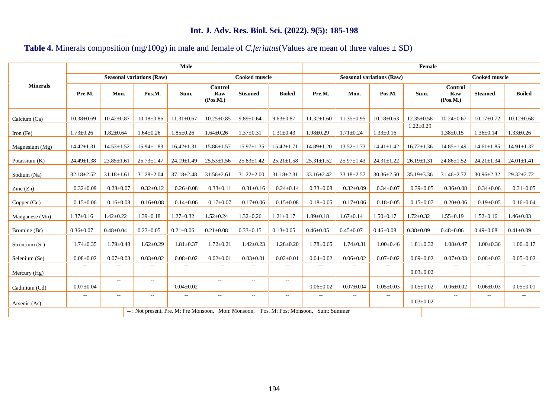# **Table 4.** Minerals composition (mg/100g) in male and female of *C.feriatus*(Values are mean of three values ± SD)

|                          |                          |                          |                                                     | Male                     |                            |                  | Female                            |                          |                          |                                  |                      |                            |                  |                  |
|--------------------------|--------------------------|--------------------------|-----------------------------------------------------|--------------------------|----------------------------|------------------|-----------------------------------|--------------------------|--------------------------|----------------------------------|----------------------|----------------------------|------------------|------------------|
|                          |                          |                          | <b>Seasonal variations (Raw)</b>                    |                          | Cooked muscle              |                  |                                   |                          |                          | <b>Seasonal variations (Raw)</b> | <b>Cooked muscle</b> |                            |                  |                  |
| <b>Minerals</b>          | Pre.M.                   | Mon.                     | Pos.M.                                              | Sum.                     | Control<br>Raw<br>(Pos.M.) | <b>Steamed</b>   | <b>Boiled</b>                     | Pre.M.                   | Mon.                     | Pos.M.                           | Sum.                 | Control<br>Raw<br>(Pos.M.) | <b>Steamed</b>   | <b>Boiled</b>    |
| Calcium (Ca)             | $10.38 \pm 0.69$         | $10.42 \pm 0.87$         | $10.18 \pm 0.86$                                    | $11.31 \pm 0.67$         | $10.25 \pm 0.85$           | $9.89 \pm 0.64$  | $9.63 \pm 0.87$                   | $11.32{\pm}1.60$         | $11.35 \pm 0.95$         | $10.18 \pm 0.63$                 | $12.35 \pm 0.58$     | $10.24 \pm 0.67$           | $10.17 \pm 0.72$ | $10.12 \pm 0.68$ |
| Iron $(Fe)$              | $1.73 \pm 0.26$          | $1.82 \pm 0.64$          | $1.64 \pm 0.26$                                     | $1.85 \pm 0.26$          | $1.64 \pm 0.26$            | $1.37 \pm 0.31$  | $1.31 \pm 0.43$                   | $1.98 \pm 0.29$          | $1.71 \pm 0.24$          | $1.33 \pm 0.16$                  | $1.22 \pm 0.29$      | $1.38 \pm 0.15$            | $1.36 \pm 0.14$  | $1.33 \pm 0.26$  |
| Magnesium $(Mg)$         | $14.42 \pm 1.31$         | $14.53 \pm 1.52$         | $15.94 \pm 1.83$                                    | $16.42 \pm 1.31$         | $15.86 \pm 1.57$           | $15.97 \pm 1.35$ | $15.42 \pm 1.71$                  | $14.89 \pm 1.20$         | $13.52 \pm 1.73$         | $14.41 \pm 1.42$                 | $16.72 \pm 1.36$     | $14.85 \pm 1.49$           | $14.61 \pm 1.85$ | $14.91 \pm 1.37$ |
| Potassium (K)            | $24.49 \pm 1.38$         | $23.85 \pm 1.61$         | $25.73 \pm 1.47$                                    | $24.19 \pm 1.49$         | $25.53 \pm 1.56$           | $25.83 \pm 1.42$ | $25.21 \pm 1.58$                  | $25.31 \pm 1.52$         | $25.97 \pm 1.43$         | $24.31 \pm 1.22$                 | $26.19 \pm 1.31$     | $24.86 \pm 1.52$           | $24.21 \pm 1.34$ | $24.01 \pm 1.41$ |
| Sodium (Na)              | $32.18 \pm 2.52$         | $31.18 \pm 1.61$         | $31.28 \pm 2.04$                                    | $37.18 \pm 2.48$         | $31.56 \pm 2.61$           | $31.22 \pm 2.00$ | $31.18 \pm 2.31$                  | $33.16 \pm 2.42$         | $33.18 \pm 2.57$         | $30.36 \pm 2.50$                 | $35.19 \pm 3.36$     | $31.46 \pm 2.72$           | $30.96 \pm 2.32$ | $29.32 \pm 2.72$ |
| $\text{Zinc}(\text{Zn})$ | $0.32 \pm 0.09$          | $0.28 \pm 0.07$          | $0.32 \pm 0.12$                                     | $0.26 \pm 0.08$          | $0.33 \pm 0.11$            | $0.31 \pm 0.16$  | $0.24 \pm 0.14$                   | $0.33 \pm 0.08$          | $0.32 \pm 0.09$          | $0.34 \pm 0.07$                  | $0.39 + 0.05$        | $0.36 \pm 0.08$            | $0.34 \pm 0.06$  | $0.31 \pm 0.05$  |
| Copper (Cu)              | $0.15 \pm 0.06$          | $0.16 \pm 0.08$          | $0.16 \pm 0.08$                                     | $0.14 \pm 0.06$          | $0.17 \pm 0.07$            | $0.17 \pm 0.06$  | $0.15 \pm 0.08$                   | $0.18 \pm 0.05$          | $0.17 \pm 0.06$          | $0.18 \pm 0.05$                  | $0.15 \pm 0.07$      | $0.20 \pm 0.06$            | $0.19 \pm 0.05$  | $0.16 \pm 0.04$  |
| Manganese (Mn)           | $1.37 \pm 0.16$          | $1.42 \pm 0.22$          | $1.39 \pm 0.18$                                     | $1.27 \pm 0.32$          | $1.52 \pm 0.24$            | $1.32 \pm 0.26$  | $1.21 \pm 0.17$                   | $1.89 \pm 0.18$          | $1.67 \pm 0.14$          | $1.50 \pm 0.17$                  | $1.72 \pm 0.32$      | $1.55 \pm 0.19$            | $1.52 \pm 0.16$  | $1.46 \pm 0.03$  |
| Bromine (Br)             | $0.36 \pm 0.07$          | $0.48 \pm 0.04$          | $0.23 \pm 0.05$                                     | $0.21 \pm 0.06$          | $0.21 \pm 0.08$            | $0.33 \pm 0.15$  | $0.13 \pm 0.05$                   | $0.46 \pm 0.05$          | $0.45 \pm 0.07$          | $0.46 \pm 0.08$                  | $0.38 \pm 0.09$      | $0.48 \pm 0.06$            | $0.49 \pm 0.08$  | $0.41 \pm 0.09$  |
| Strontium (Sr)           | $1.74 \pm 0.35$          | $1.79 \pm 0.48$          | $1.62 \pm 0.29$                                     | $1.81 \pm 0.37$          | $1.72 \pm 0.21$            | $1.42 \pm 0.23$  | $1.28 \pm 0.20$                   | $1.78 \pm 0.65$          | $1.74 \pm 0.31$          | $1.00 \pm 0.46$                  | $1.81 \pm 0.32$      | $1.08 \pm 0.47$            | $1.00 \pm 0.36$  | $1.00 \pm 0.17$  |
| Selenium (Se)            | $0.08 \pm 0.02$          | $0.07 \pm 0.03$          | $0.03 \pm 0.02$                                     | $0.08 \pm 0.02$          | $0.02 \pm 0.01$            | $0.03 \pm 0.01$  | $0.02 \pm 0.01$                   | $0.04 \pm 0.02$          | $0.06 \pm 0.02$          | $0.07 \pm 0.02$                  | $0.09 \pm 0.02$      | $0.07 \pm 0.03$            | $0.08 \pm 0.03$  | $0.05 \pm 0.02$  |
| Mercury (Hg)             | $\overline{\phantom{a}}$ | $\overline{\phantom{a}}$ | $\overline{a}$                                      | $\sim$ $\sim$            | $\sim$                     | $\sim$ $\sim$    | $\overline{\phantom{a}}$          | $\overline{\phantom{m}}$ | $\overline{a}$           | $\overline{\phantom{a}}$         | $0.03 \pm 0.02$      | $\overline{a}$             | $\sim$           | $--$             |
| Cadmium (Cd)             | $0.07 \pm 0.04$          | $\sim$ $-$               | $\hspace{0.05cm} \ldots$                            | $0.04 \pm 0.02$          | $- -$                      | $- -$            | $\overline{\phantom{a}}$          | $0.06 \pm 0.02$          | $0.07 \pm 0.04$          | $0.05 \pm 0.03$                  | $0.05 \pm 0.02$      | $0.06 \pm 0.02$            | $0.06 \pm 0.03$  | $0.05 \pm 0.01$  |
| Arsenic (As)             | $\overline{\phantom{a}}$ | $\overline{\phantom{a}}$ | $\qquad \qquad -$                                   | $\overline{\phantom{a}}$ | $\sim$ $-$                 | $\sim$ $-$       | $- -$                             | $\overline{\phantom{a}}$ | $\hspace{0.05cm} \ldots$ | $\overline{\phantom{a}}$         | $0.03 \pm 0.02$      | $\overline{a}$             | $\sim$ $\sim$    | $- -$            |
|                          |                          |                          | --: Not present, Pre. M: Pre Monsoon, Mon: Monsoon, |                          |                            |                  | Pos. M: Post Monsoon, Sum: Summer |                          |                          |                                  |                      |                            |                  |                  |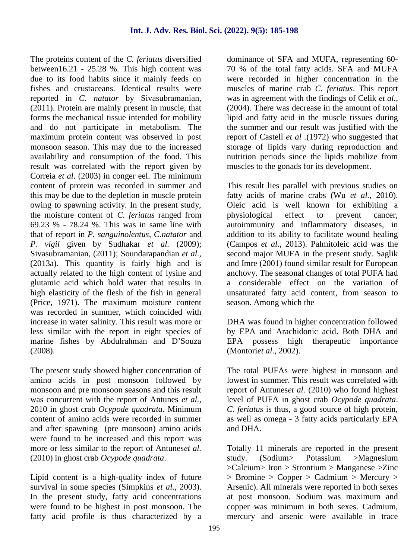The proteins content of the *C. feriatus* diversified between16.21 - 25.28 %. This high content was due to its food habits since it mainly feeds on fishes and crustaceans. Identical results were reported in *C. natator* by Sivasubramanian, (2011). Protein are mainly present in muscle, that forms the mechanical tissue intended for mobility and do not participate in metabolism. The maximum protein content was observed in post monsoon season. This may due to the increased availability and consumption of the food. This result was correlated with the report given by Correia *et al*. (2003) in conger eel. The minimum content of protein was recorded in summer and this may be due to the depletion in muscle protein owing to spawning activity. In the present study, the moisture content of *C. feriatus* ranged from 69.23 % - 78.24 %. This was in same line with that of report in *P. sanguinolentus*, *C.natator* and *P. vigil* given by Sudhakar *et al.* (2009); Sivasubramanian, (2011); Soundarapandian *et al.,* (2013a). This quantity is fairly high and is actually related to the high content of lysine and glutamic acid which hold water that results in high elasticity of the flesh of the fish in general (Price, 1971). The maximum moisture content was recorded in summer, which coincided with increase in water salinity. This result was more or less similar with the report in eight species of marine fishes by Abdulrahman and D'Souza (2008).

The present study showed higher concentration of amino acids in post monsoon followed by monsoon and pre monsoon seasons and this result was concurrent with the report of Antunes *et al.,* 2010 in ghost crab *Ocypode quadrata*. Minimum content of amino acids were recorded in summer and after spawning (pre monsoon) amino acids were found to be increased and this report was more or less similar to the report of Antunes*et al.* (2010) in ghost crab *Ocypode quadrata*.

Lipid content is a high-quality index of future survival in some species (Simpkins *et al*., 2003). In the present study, fatty acid concentrations were found to be highest in post monsoon. The fatty acid profile is thus characterized by a dominance of SFA and MUFA, representing 60- 70 % of the total fatty acids. SFA and MUFA were recorded in higher concentration in the muscles of marine crab *C. feriatus*. This report was in agreement with the findings of Celik *et al.,* (2004). There was decrease in the amount of total lipid and fatty acid in the muscle tissues during the summer and our result was justified with the report of Castell *et al .*(1972) who suggested that storage of lipids vary during reproduction and nutrition periods since the lipids mobilize from muscles to the gonads for its development.

This result lies parallel with previous studies on fatty acids of marine crabs (Wu *et al.,* 2010). Oleic acid is well known for exhibiting a physiological effect to prevent cancer, autoimmunity and inflammatory diseases, in addition to its ability to facilitate wound healing (Campos *et al*., 2013). Palmitoleic acid was the second major MUFA in the present study. Saglik and Imre (2001) found similar result for European anchovy. The seasonal changes of total PUFA had a considerable effect on the variation of unsaturated fatty acid content, from season to season. Among which the

DHA was found in higher concentration followed by EPA and Arachidonic acid. Both DHA and EPA possess high therapeutic importance (Montori*et al*., 2002).

The total PUFAs were highest in monsoon and lowest in summer. This result was correlated with report of Antunes*et al.* (2010) who found highest level of PUFA in ghost crab *Ocypode quadrata*. *C. feriatus* is thus, a good source of high protein, as well as omega - 3 fatty acids particularly EPA and DHA.

Totally 11 minerals are reported in the present study. (Sodium> Potassium >Magnesium >Calcium> Iron > Strontium > Manganese >Zinc  $>$  Bromine  $>$  Copper  $>$  Cadmium  $>$  Mercury  $>$ Arsenic). All minerals were reported in both sexes at post monsoon. Sodium was maximum and copper was minimum in both sexes. Cadmium, mercury and arsenic were available in trace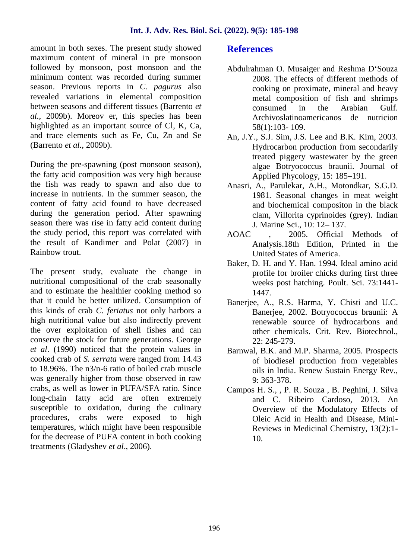amount in both sexes. The present study showed maximum content of mineral in pre monsoon followed by monsoon, post monsoon and the minimum content was recorded during summer season. Previous reports in *C. pagurus* also revealed variations in elemental composition between seasons and different tissues (Barrento *et al.,* 2009b). Moreov er, this species has been highlighted as an important source of Cl, K, Ca, and trace elements such as Fe, Cu, Zn and Se (Barrento *et al.,* 2009b).

During the pre-spawning (post monsoon season), the fatty acid composition was very high because the fish was ready to spawn and also due to increase in nutrients. In the summer season, the content of fatty acid found to have decreased during the generation period. After spawning season there was rise in fatty acid content during the study period, this report was correlated with the result of Kandimer and Polat (2007) in Rainbow trout.

The present study, evaluate the change in nutritional compositional of the crab seasonally and to estimate the healthier cooking method so that it could be better utilized. Consumption of this kinds of crab *C. feriatus* not only harbors a high nutritional value but also indirectly prevent the over exploitation of shell fishes and can conserve the stock for future generations. George *et al*. (1990) noticed that the protein values in cooked crab of *S. serrata* were ranged from 14.43 to 18.96%. The n3/n-6 ratio of boiled crab muscle was generally higher from those observed in raw crabs, as well as lower in PUFA/SFA ratio. Since long-chain fatty acid are often extremely susceptible to oxidation, during the culinary procedures, crabs were exposed to high temperatures, which might have been responsible for the decrease of PUFA content in both cooking treatments (Gladyshev *et al*., 2006).

#### **References**

- Abdulrahman O. Musaiger and Reshma D'Souza 2008. The effects of different methods of cooking on proximate, mineral and heavy metal composition of fish and shrimps consumed in the Arabian Gulf. Archivoslatinoamericanos de nutricion 58(1):103- 109.
- An, J.Y., S.J. Sim, J.S. Lee and B.K. Kim, 2003. Hydrocarbon production from secondarily treated piggery wastewater by the green algae Botryococcus braunii. Journal of Applied Phycology, 15: 185–191.
- Anasri, A., Parulekar, A.H., Motondkar, S.G.D. 1981. Seasonal changes in meat weight and biochemical compositon in the black clam, Villorita cyprinoides (grey). Indian J. Marine Sci., 10: 12– 137.
- 2005. Official Methods of Analysis.18th Edition, Printed in the United States of America.
- Baker, D. H. and Y. Han. 1994. Ideal amino acid profile for broiler chicks during first three weeks post hatching. Poult. Sci. 73:1441- 1447.
- Banerjee, A., R.S. Harma, Y. Chisti and U.C. Banerjee, 2002. Botryococcus braunii: A renewable source of hydrocarbons and other chemicals. Crit. Rev. Biotechnol., 22: 245-279.
- Barnwal, B.K. and M.P. Sharma, 2005. Prospects of biodiesel production from vegetables oils in India. Renew Sustain Energy Rev., 9: 363-378.
- Campos H. S., , P. R. Souza , B. Peghini, J. Silva and C. Ribeiro Cardoso, 2013. An Overview of the Modulatory Effects of Oleic Acid in Health and Disease, Mini- Reviews in Medicinal Chemistry, 13(2):1- 10.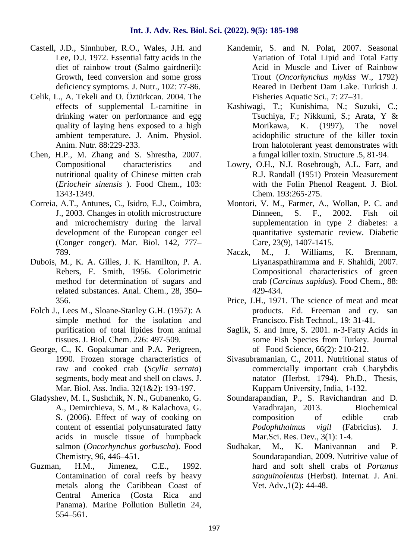- Castell, J.D., Sinnhuber, R.O., Wales, J.H. and Lee, D.J. 1972. Essential fatty acids in the diet of rainbow trout (Salmo gairdnerii): Growth, feed conversion and some gross deficiency symptoms. J. Nutr., 102: 77-86.
- Celik, L., A. Tekeli and O. Öztürkcan. 2004. The effects of supplemental L-carnitine in drinking water on performance and egg quality of laying hens exposed to a high ambient temperature. J. Anim. Physiol. Anim. Nutr. 88:229-233.
- Chen, H.P., M. Zhang and S. Shrestha, 2007. Compositional characteristics and nutritional quality of Chinese mitten crab (*Eriocheir sinensis* ). Food Chem., 103: 1343-1349.
- Correia, A.T., Antunes, C., Isidro, E.J., Coimbra, J., 2003. Changes in otolith microstructure and microchemistry during the larval development of the European conger eel (Conger conger). Mar. Biol. 142, 777– 789.
- Dubois, M., K. A. Gilles, J. K. Hamilton, P. A. Rebers, F. Smith, 1956. Colorimetric method for determination of sugars and related substances. Anal. Chem., 28, 350– 356.
- Folch J., Lees M., Sloane-Stanley G.H. (1957): A simple method for the isolation and purification of total lipides from animal tissues. J. Biol. Chem. 226: 497-509.
- George, C., K. Gopakumar and P.A. Perigreen, 1990. Frozen storage characteristics of raw and cooked crab (*Scylla serrata*) segments, body meat and shell on claws. J. Mar. Biol. Ass. India. 32(1&2): 193-197.
- Gladyshev, M. I., Sushchik, N. N., Gubanenko, G. A., Demirchieva, S. M., & Kalachova, G. S. (2006). Effect of way of cooking on content of essential polyunsaturated fatty acids in muscle tissue of humpback salmon (*Oncorhynchus gorbuscha*). Food Chemistry, 96, 446–451.
- Guzman, H.M., Jimenez, C.E., 1992. Contamination of coral reefs by heavy metals along the Caribbean Coast of Central America (Costa Rica and Panama). Marine Pollution Bulletin 24, 554–561.
- Kandemir, S. and N. Polat, 2007. Seasonal Variation of Total Lipid and Total Fatty Acid in Muscle and Liver of Rainbow Trout (*Oncorhynchus mykiss* W., 1792) Reared in Derbent Dam Lake. Turkish J. Fisheries Aquatic Sci., 7: 27–31.
- Kashiwagi, T.; Kunishima, N.; Suzuki, C.; Tsuchiya, F.; Nikkumi, S.; Arata, Y & Morikawa, K. (1997), The novel acidophilic structure of the killer toxin from halotolerant yeast demonstrates with a fungal killer toxin. Structure .5, 81-94.
- Lowry, O.H., N.J. Rosebrough, A.L. Farr, and R.J. Randall (1951) Protein Measurement with the Folin Phenol Reagent. J. Biol. Chem. 193:265-275.
- Montori, V. M., Farmer, A., Wollan, P. C. and Dinneen, S. F., 2002. Fish oil supplementation in type 2 diabetes: a quantitative systematic review. Diabetic Care, 23(9), 1407-1415.
- Naczk, M., J. Williams, K. Brennam, Liyanaspathiramma and F. Shahidi, 2007. Compositional characteristics of green crab (*Carcinus sapidus*). Food Chem., 88: 429-434.
- Price, J.H., 1971. The science of meat and meat products. Ed. Freeman and cy. san Francisco. Fish Technol., 19: 31-41.
- Saglik, S. and Imre, S. 2001. n-3-Fatty Acids in some Fish Species from Turkey. Journal of Food Science, 66(2): 210-212.
- Sivasubramanian, C., 2011. Nutritional status of commercially important crab Charybdis natator (Herbst, 1794). Ph.D., Thesis, Kuppam University, India, 1-132.
- Soundarapandian, P., S. Ravichandran and D. Varadhrajan, 2013. Biochemical composition of edible crab *Podophthalmus vigil* (Fabricius). J. Mar.Sci. Res. Dev., 3(1): 1-4.
- M., K. Manivannan and P. Soundarapandian, 2009. Nutritive value of hard and soft shell crabs of *Portunus sanguinolentus* (Herbst). Internat. J. Ani. Vet. Adv.,1(2): 44-48.